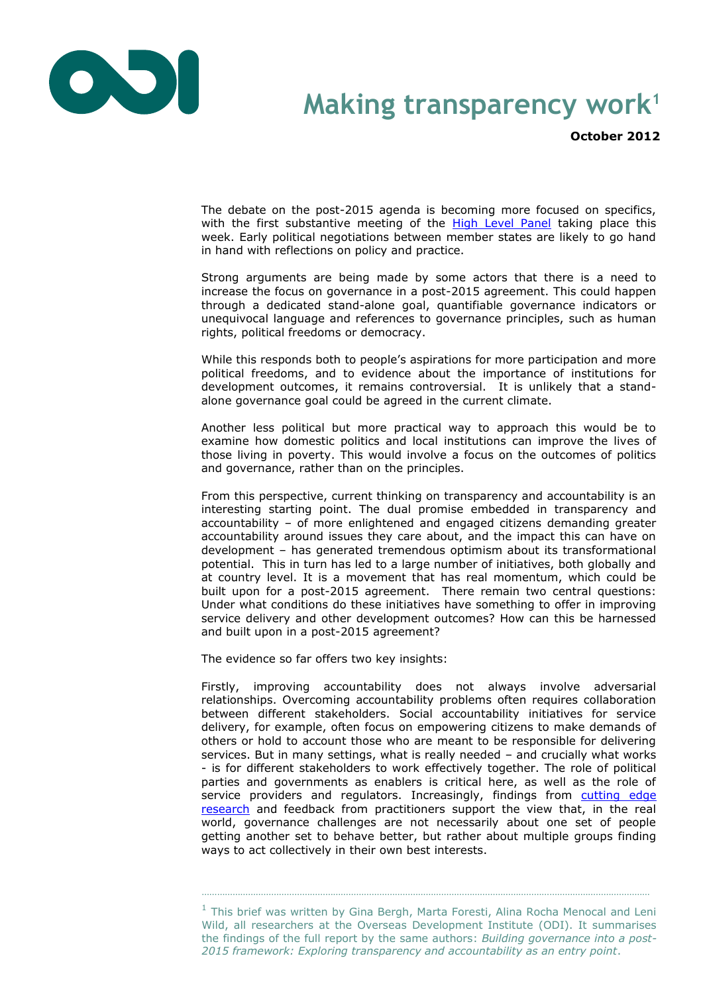

## **Making transparency work<sup>1</sup>**

**October 2012**

The debate on the post-2015 agenda is becoming more focused on specifics, with the first substantive meeting of the **[High Level Panel](http://www.un.org/News/Press/docs/2012/sga1364.doc.htm)** taking place this week. Early political negotiations between member states are likely to go hand in hand with reflections on policy and practice.

Strong arguments are being made by some actors that there is a need to increase the focus on governance in a post-2015 agreement. This could happen through a dedicated stand-alone goal, quantifiable governance indicators or unequivocal language and references to governance principles, such as human rights, political freedoms or democracy.

While this responds both to people's aspirations for more participation and more political freedoms, and to evidence about the importance of institutions for development outcomes, it remains controversial. It is unlikely that a standalone governance goal could be agreed in the current climate.

Another less political but more practical way to approach this would be to examine how domestic politics and local institutions can improve the lives of those living in poverty. This would involve a focus on the outcomes of politics and governance, rather than on the principles.

From this perspective, current thinking on transparency and accountability is an interesting starting point. The dual promise embedded in transparency and accountability – of more enlightened and engaged citizens demanding greater accountability around issues they care about, and the impact this can have on development – has generated tremendous optimism about its transformational potential. This in turn has led to a large number of initiatives, both globally and at country level. It is a movement that has real momentum, which could be built upon for a post-2015 agreement. There remain two central questions: Under what conditions do these initiatives have something to offer in improving service delivery and other development outcomes? How can this be harnessed and built upon in a post-2015 agreement?

The evidence so far offers two key insights:

Firstly, improving accountability does not always involve adversarial relationships. Overcoming accountability problems often requires collaboration between different stakeholders. Social accountability initiatives for service delivery, for example, often focus on empowering citizens to make demands of others or hold to account those who are meant to be responsible for delivering services. But in many settings, what is really needed – and crucially what works - is for different stakeholders to work effectively together. The role of political parties and governments as enablers is critical here, as well as the role of service providers and regulators. Increasingly, findings from cutting edge [research](http://www.institutions-africa.org/filestream/20121024-appp-synthesis-report-development-as-a-collective-action-problem) and feedback from practitioners support the view that, in the real world, governance challenges are not necessarily about one set of people getting another set to behave better, but rather about multiple groups finding ways to act collectively in their own best interests.

 $<sup>1</sup>$  This brief was written by Gina Bergh, Marta Foresti, Alina Rocha Menocal and Leni</sup> Wild, all researchers at the Overseas Development Institute (ODI). It summarises the findings of the full report by the same authors: *Building governance into a post-2015 framework: Exploring transparency and accountability as an entry point*.

…………………………………………………………………………………………………………………………………………………………